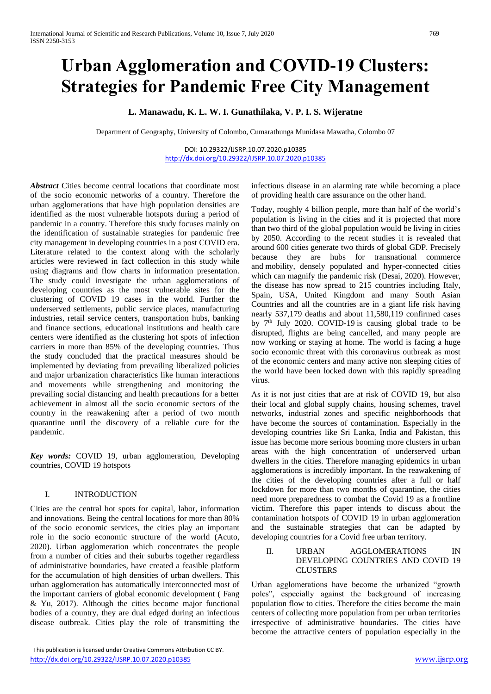# **Urban Agglomeration and COVID-19 Clusters: Strategies for Pandemic Free City Management**

# **L. Manawadu, K. L. W. I. Gunathilaka, V. P. I. S. Wijeratne**

Department of Geography, University of Colombo, Cumarathunga Munidasa Mawatha, Colombo 07

DOI: 10.29322/IJSRP.10.07.2020.p10385 <http://dx.doi.org/10.29322/IJSRP.10.07.2020.p10385>

*Abstract* Cities become central locations that coordinate most of the socio economic networks of a country. Therefore the urban agglomerations that have high population densities are identified as the most vulnerable hotspots during a period of pandemic in a country. Therefore this study focuses mainly on the identification of sustainable strategies for pandemic free city management in developing countries in a post COVID era. Literature related to the context along with the scholarly articles were reviewed in fact collection in this study while using diagrams and flow charts in information presentation. The study could investigate the urban agglomerations of developing countries as the most vulnerable sites for the clustering of COVID 19 cases in the world. Further the underserved settlements, public service places, manufacturing industries, retail service centers, transportation hubs, banking and finance sections, educational institutions and health care centers were identified as the clustering hot spots of infection carriers in more than 85% of the developing countries. Thus the study concluded that the practical measures should be implemented by deviating from prevailing liberalized policies and major urbanization characteristics like human interactions and movements while strengthening and monitoring the prevailing social distancing and health precautions for a better achievement in almost all the socio economic sectors of the country in the reawakening after a period of two month quarantine until the discovery of a reliable cure for the pandemic.

*Key words:* COVID 19, urban agglomeration, Developing countries, COVID 19 hotspots

# I. INTRODUCTION

Cities are the central hot spots for capital, labor, information and innovations. Being the central locations for more than 80% of the socio economic services, the cities play an important role in the socio economic structure of the world (Acuto, 2020). Urban agglomeration which concentrates the people from a number of cities and their suburbs together regardless of administrative boundaries, have created a feasible platform for the accumulation of high densities of urban dwellers. This urban agglomeration has automatically interconnected most of the important carriers of global economic development ( Fang & Yu, 2017). Although the cities become major functional bodies of a country, they are dual edged during an infectious disease outbreak. Cities play the role of transmitting the infectious disease in an alarming rate while becoming a place of providing health care assurance on the other hand.

Today, roughly 4 billion people, more than half of the world's population is living in the cities and it is projected that more than two third of the global population would be living in cities by 2050. According to the recent studies it is revealed that around [600 cities](https://urldefense.proofpoint.com/v2/url?u=https-3A__www.mckinsey.com_-7E_media_McKinsey_Featured-2520Insights_Urbanization_Urban-2520world_MGI-5Furban-5Fworld-5Fmapping-5Feconomic-5Fpower-5Fof-5Fcities-5Ffull-5Freport.ashx&d=DwMFaQ&c=VWART3hH1Kkv_uOe9JqhCg&r=sMDV_PgeOAdmDWFOQCGuulQz4qnuEJbej1gSClSdM5U&m=TC73fM11xBlrzCsB7mIhETitbNfgjmGpU_PnxUJx_7A&s=nCnd6bbl0YajTtWPs249GU_XJsysxpOLYoR598u2SdY&e=) generate two thirds of global GDP. Precisely because they are hubs for transnational commerce and [mobility,](https://urldefense.proofpoint.com/v2/url?u=https-3A__royalsocietypublishing.org_doi_pdf_10.1098_rspb.2013.0763&d=DwMFaQ&c=VWART3hH1Kkv_uOe9JqhCg&r=sMDV_PgeOAdmDWFOQCGuulQz4qnuEJbej1gSClSdM5U&m=TC73fM11xBlrzCsB7mIhETitbNfgjmGpU_PnxUJx_7A&s=D4ziew9a-SrV10m22pZIf02_9AHaoo93X0SVZpaqY6U&e=) densely populated and hyper-connected cities which can magnify the pandemic risk (Desai, 2020). However, the disease has now spread to 215 countries including Italy, Spain, USA, United Kingdom and many South Asian Countries and all the countries are in a giant life risk having nearly 537,179 deaths and about 11,580,119 confirmed cases by  $7<sup>th</sup>$  July 2020. [COVID-19](https://interestingengineering.com/coronavirus-cure-possibly-found-in-australia) is causing global trade to be disrupted, flights are being cancelled, and many people are now working or staying at home. The world is facing a huge socio economic threat with this coronavirus outbreak as most of the economic centers and many active non sleeping cities of the world have been locked down with this rapidly spreading virus.

As it is not just cities that are at risk of COVID 19, but also their local and global supply chains, housing schemes, travel networks, industrial zones and specific neighborhoods that have become the sources of contamination. Especially in the developing countries like Sri Lanka, India and Pakistan, this issue has become more serious booming more clusters in urban areas with the high concentration of underserved urban dwellers in the cities. Therefore managing epidemics in urban agglomerations is incredibly important. In the reawakening of the cities of the developing countries after a full or half lockdown for more than two months of quarantine, the cities need more preparedness to combat the Covid 19 as a frontline victim. Therefore this paper intends to discuss about the contamination hotspots of COVID 19 in urban agglomeration and the sustainable strategies that can be adapted by developing countries for a Covid free urban territory.

# II. URBAN AGGLOMERATIONS IN DEVELOPING COUNTRIES AND COVID 19 CLUSTERS

Urban agglomerations have become the urbanized "growth poles", especially against the background of increasing population flow to cities. Therefore the cities become the main centers of collecting more population from per urban territories irrespective of administrative boundaries. The cities have become the attractive centers of population especially in the

This publication is licensed under Creative Commons Attribution CC BY. <http://dx.doi.org/10.29322/IJSRP.10.07.2020.p10385> [www.ijsrp.org](http://ijsrp.org/)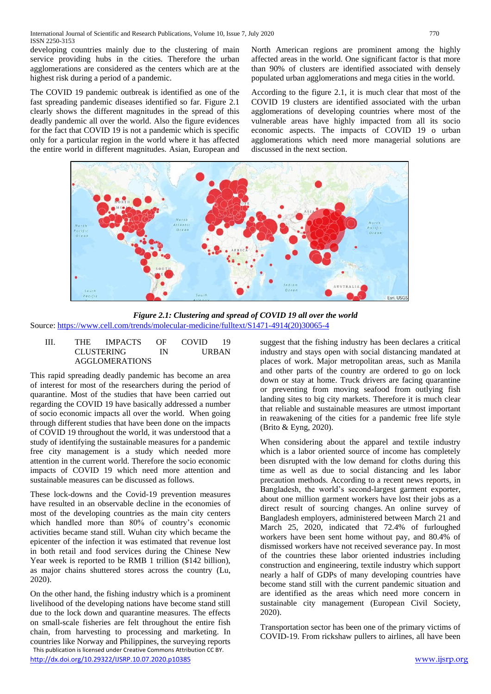developing countries mainly due to the clustering of main service providing hubs in the cities. Therefore the urban agglomerations are considered as the centers which are at the highest risk during a period of a pandemic.

The COVID 19 pandemic outbreak is identified as one of the fast spreading pandemic diseases identified so far. Figure 2.1 clearly shows the different magnitudes in the spread of this deadly pandemic all over the world. Also the figure evidences for the fact that COVID 19 is not a pandemic which is specific only for a particular region in the world where it has affected the entire world in different magnitudes. Asian, European and North American regions are prominent among the highly affected areas in the world. One significant factor is that more than 90% of clusters are identified associated with densely populated urban agglomerations and mega cities in the world.

According to the figure 2.1, it is much clear that most of the COVID 19 clusters are identified associated with the urban agglomerations of developing countries where most of the vulnerable areas have highly impacted from all its socio economic aspects. The impacts of COVID 19 o urban agglomerations which need more managerial solutions are discussed in the next section.



*Figure 2.1: Clustering and spread of COVID 19 all over the world* Source[: https://www.cell.com/trends/molecular-medicine/fulltext/S1471-4914\(20\)30065-4](https://www.cell.com/trends/molecular-medicine/fulltext/S1471-4914(20)30065-4)

| Ш | THE 1                 | <b>IMPACTS</b>    | OE | <b>COVID</b>       | 19 |
|---|-----------------------|-------------------|----|--------------------|----|
|   |                       | <b>CLUSTERING</b> |    | <b>URBAN</b><br>IN |    |
|   | <b>AGGLOMERATIONS</b> |                   |    |                    |    |

This rapid spreading deadly pandemic has become an area of interest for most of the researchers during the period of quarantine. Most of the studies that have been carried out regarding the COVID 19 have basically addressed a number of socio economic impacts all over the world. When going through different studies that have been done on the impacts of COVID 19 throughout the world, it was understood that a study of identifying the sustainable measures for a pandemic free city management is a study which needed more attention in the current world. Therefore the socio economic impacts of COVID 19 which need more attention and sustainable measures can be discussed as follows.

These lock-downs and the Covid-19 prevention measures have resulted in an observable decline in the economies of most of the developing countries as the main city centers which handled more than 80% of country's economic activities became stand still. Wuhan city which became the epicenter of the infection it was estimated that revenue lost in both retail and food services during the Chinese New Year week is reported to be RMB 1 trillion (\$142 billion), as major chains shuttered stores across the country (Lu, 2020).

 This publication is licensed under Creative Commons Attribution CC BY. On the other hand, the fishing industry which is a prominent livelihood of the developing nations have become stand still due to the lock down and quarantine measures. The effects on small-scale fisheries are felt throughout the entire fish chain, from harvesting to processing and marketing. In countries like Norway and Philippines, the surveying reports suggest that the fishing industry has been declares a critical industry and stays open with social distancing mandated at places of work. Major metropolitan areas, such as Manila and other parts of the country are ordered to go on lock down or stay at home. Truck drivers are facing quarantine or preventing from moving seafood from outlying fish landing sites to big city markets. Therefore it is much clear that reliable and sustainable measures are utmost important in reawakening of the cities for a pandemic free life style (Brito & Eyng, 2020).

When considering about the apparel and textile industry which is a labor oriented source of income has completely been disrupted with the low demand for cloths during this time as well as due to social distancing and les labor precaution methods. According to [a recent news reports](https://www.npr.org/sections/coronavirus-live-updates/2020/04/03/826617334/1-million-bangladeshi-garment-workers-lose-jobs-amid-covid-19-economic-fallout), in Bangladesh, the world's second-largest garment exporter, about one million garment workers have lost their jobs as a direct result of sourcing changes. [An online survey of](https://www.workersrights.org/wp-content/uploads/2020/03/Abandoned-Penn-State-WRC-Report-March-27-2020.pdf)  [Bangladesh employers,](https://www.workersrights.org/wp-content/uploads/2020/03/Abandoned-Penn-State-WRC-Report-March-27-2020.pdf) administered between March 21 and March 25, 2020, indicated that 72.4% of furloughed workers have been sent home without pay, and 80.4% of dismissed workers have not received severance pay. In most of the countries these labor oriented industries including construction and engineering, textile industry which support nearly a half of GDPs of many developing countries have become stand still with the current pandemic situation and are identified as the areas which need more concern in sustainable city management (European Civil Society, 2020).

Transportation sector has been one of the primary victims of COVID-19. From rickshaw pullers to airlines, all have been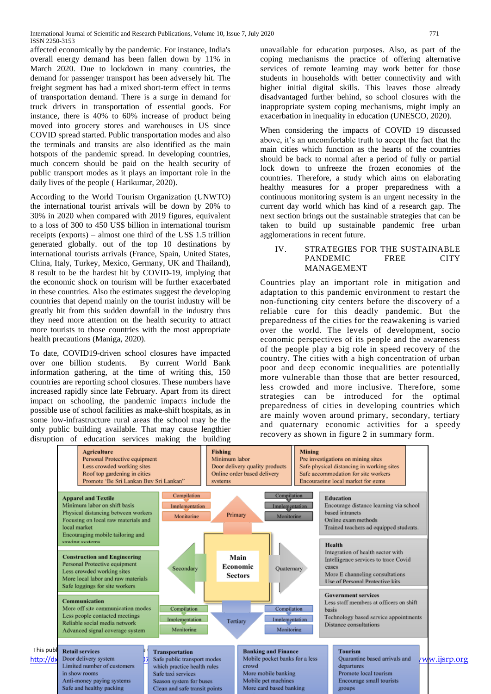affected economically by the pandemic. For instance, India's overall energy demand has been fallen down by 11% in March 2020. Due to lockdown in many countries, the demand for passenger transport has been adversely hit. The freight segment has had a mixed short-term effect in terms of transportation demand. There is a surge in demand for truck drivers in transportation of essential goods. For instance, there is 40% to 60% increase of product being moved into grocery stores and warehouses in US since COVID spread started. Public transportation modes and also the terminals and transits are also identified as the main hotspots of the pandemic spread. In developing countries, much concern should be paid on the health security of public transport modes as it plays an important role in the daily lives of the people ( Harikumar, 2020).

According to the World Tourism Organization (UNWTO) the international tourist arrivals will be down by 20% to 30% in 2020 when compared with 2019 figures, equivalent to a loss of 300 to 450 US\$ billion in international tourism receipts (exports) – almost one third of the US\$ 1.5 trillion generated globally. out of the top 10 destinations by international tourists arrivals (France, Spain, United States, China, Italy, Turkey, Mexico, Germany, UK and Thailand), 8 result to be the hardest hit by COVID-19, implying that the economic shock on tourism will be further exacerbated in these countries. Also the estimates suggest the developing countries that depend mainly on the tourist industry will be greatly hit from this sudden downfall in the industry thus they need more attention on the health security to attract more tourists to those countries with the most appropriate health precautions (Maniga, 2020).

To date, COVID19-driven school closures have impacted over one billion students. By current World Bank information gathering, at the time of writing this, 150 countries are reporting school closures. These numbers have increased rapidly since late February. Apart from its direct impact on schooling, the pandemic impacts include the possible use of school facilities as make-shift hospitals, as in some low-infrastructure rural areas the school may be the only public building available. That may cause lengthier disruption of education services making the building

unavailable for education purposes. Also, as part of the coping mechanisms the practice of offering alternative services of remote learning may work better for those students in households with better connectivity and with higher initial digital skills. This leaves those already disadvantaged further behind, so school closures with the inappropriate system coping mechanisms, might imply an exacerbation in inequality in education (UNESCO, 2020).

When considering the impacts of COVID 19 discussed above, it's an uncomfortable truth to accept the fact that the main cities which function as the hearts of the countries should be back to normal after a period of fully or partial lock down to unfreeze the frozen economies of the countries. Therefore, a study which aims on elaborating healthy measures for a proper preparedness with a continuous monitoring system is an urgent necessity in the current day world which has kind of a research gap. The next section brings out the sustainable strategies that can be taken to build up sustainable pandemic free urban agglomerations in recent future.

#### IV. STRATEGIES FOR THE SUSTAINABLE PANDEMIC FREE CITY MANAGEMENT

Countries play an important role in mitigation and adaptation to this pandemic environment to restart the non-functioning city centers before the discovery of a reliable cure for this deadly pandemic. But the preparedness of the cities for the reawakening is varied over the world. The levels of development, socio economic perspectives of its people and the awareness of the people play a big role in speed recovery of the country. The cities with a high concentration of urban poor and deep economic inequalities are potentially more vulnerable than those that are better resourced, less crowded and more inclusive. Therefore, some strategies can be introduced for the optimal preparedness of cities in developing countries which are mainly woven around primary, secondary, tertiary and quaternary economic activities for a speedy recovery as shown in figure 2 in summary form.

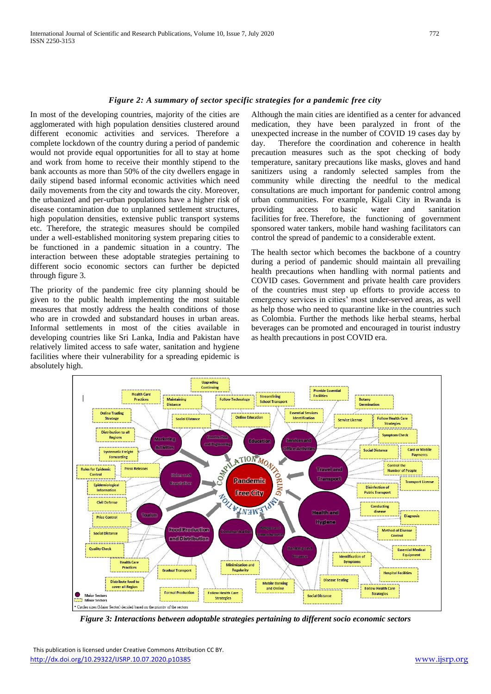#### *Figure 2: A summary of sector specific strategies for a pandemic free city*

In most of the developing countries, majority of the cities are agglomerated with high population densities clustered around different economic activities and services. Therefore a complete lockdown of the country during a period of pandemic would not provide equal opportunities for all to stay at home and work from home to receive their monthly stipend to the bank accounts as more than 50% of the city dwellers engage in daily stipend based informal economic activities which need daily movements from the city and towards the city. Moreover, the urbanized and per-urban populations have a higher risk of disease contamination due to unplanned settlement structures, high population densities, extensive public transport systems etc. Therefore, the strategic measures should be compiled under a well-established monitoring system preparing cities to be functioned in a pandemic situation in a country. The interaction between these adoptable strategies pertaining to different socio economic sectors can further be depicted through figure 3.

The priority of the pandemic free city planning should be given to the public health implementing the most suitable measures that mostly address the health conditions of those who are in crowded and substandard houses in urban areas. Informal settlements in most of the cities available in developing countries like Sri Lanka, India and Pakistan have relatively limited access to safe water, sanitation and hygiene facilities where their vulnerability for a spreading epidemic is absolutely high.

Although the main cities are identified as a center for advanced medication, they have been paralyzed in front of the unexpected increase in the number of COVID 19 cases day by day. Therefore the coordination and coherence in health precaution measures such as the spot checking of body temperature, sanitary precautions like masks, gloves and hand sanitizers using a randomly selected samples from the community while directing the needful to the medical consultations are much important for pandemic control among urban communities. For example, Kigali City in Rwanda is providing access to [basic water and sanitation](https://www.wri.org/blog/2020/04/coronavirus-water-scarcity-hand-washing)  [facilities](https://www.wri.org/blog/2020/04/coronavirus-water-scarcity-hand-washing) for free. Therefore, the functioning of government sponsored water tankers, mobile hand washing facilitators can control the spread of pandemic to a considerable extent.

The health sector which becomes the backbone of a country during a period of pandemic should maintain all prevailing health precautions when handling with normal patients and COVID cases. Government and private health care providers of the countries must step up efforts to provide access to emergency services in cities' most under-served areas, as well as help those who need to quarantine like in the countries such as Colombia. Further the methods like herbal steams, herbal beverages can be promoted and encouraged in tourist industry as health precautions in post COVID era.



*Figure 3: Interactions between adoptable strategies pertaining to different socio economic sectors*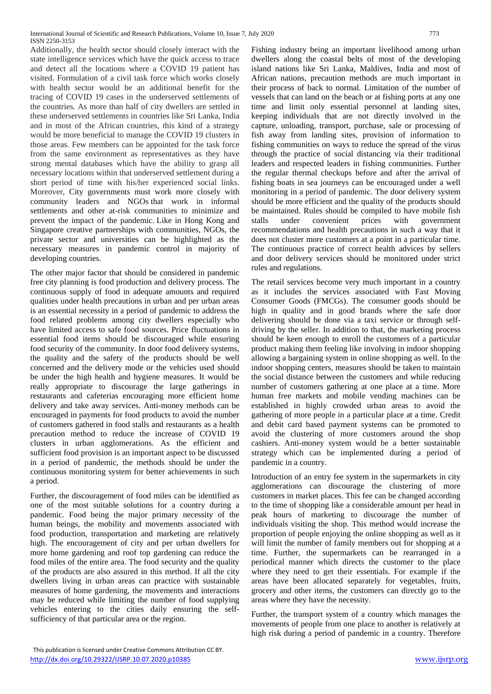Additionally, the health sector should closely interact with the state intelligence services which have the quick access to trace and detect all the locations where a COVID 19 patient has visited. Formulation of a civil task force which works closely with health sector would be an additional benefit for the tracing of COVID 19 cases in the underserved settlements of the countries. As more than half of city dwellers are settled in these underserved settlements in countries like Sri Lanka, India and in most of the African countries, this kind of a strategy would be more beneficial to manage the COVID 19 clusters in those areas. Few members can be appointed for the task force from the same environment as representatives as they have strong mental databases which have the ability to grasp all necessary locations within that underserved settlement during a short period of time with his/her experienced social links. Moreover, City governments must work more closely with community leaders and NGOs that work in informal settlements and other at-risk communities to minimize and prevent the impact of the pandemic. Like in Hong Kong and Singapore creative partnerships with communities, NGOs, the private sector and universities can be highlighted as the necessary measures in pandemic control in majority of developing countries.

The other major factor that should be considered in pandemic free city planning is food production and delivery process. The continuous supply of food in adequate amounts and required qualities under health precautions in urban and per urban areas is an essential necessity in a period of pandemic to address the food related problems among city dwellers especially who have limited access to safe food sources. Price fluctuations in essential food items should be discouraged while ensuring food security of the community. In door food delivery systems, the quality and the safety of the products should be well concerned and the delivery mode or the vehicles used should be under the high health and hygiene measures. It would be really appropriate to discourage the large gatherings in restaurants and cafeterias encouraging more efficient home delivery and take away services. Anti-money methods can be encouraged in payments for food products to avoid the number of customers gathered in food stalls and restaurants as a health precaution method to reduce the increase of COVID 19 clusters in urban agglomerations. As the efficient and sufficient food provision is an important aspect to be discussed in a period of pandemic, the methods should be under the continuous monitoring system for better achievements in such a period.

Further, the discouragement of food miles can be identified as one of the most suitable solutions for a country during a pandemic. Food being the major primary necessity of the human beings, the mobility and movements associated with food production, transportation and marketing are relatively high. The encouragement of city and per urban dwellers for more home gardening and roof top gardening can reduce the food miles of the entire area. The food security and the quality of the products are also assured in this method. If all the city dwellers living in urban areas can practice with sustainable measures of home gardening, the movements and interactions may be reduced while limiting the number of food supplying vehicles entering to the cities daily ensuring the selfsufficiency of that particular area or the region.

Fishing industry being an important livelihood among urban dwellers along the coastal belts of most of the developing island nations like Sri Lanka, Maldives, India and most of African nations, precaution methods are much important in their process of back to normal. Limitation of the number of vessels that can land on the beach or at fishing ports at any one time and limit only essential personnel at landing sites, keeping individuals that are not directly involved in the capture, unloading, transport, purchase, sale or processing of fish away from landing sites, provision of information to fishing communities on ways to reduce the spread of the virus through the practice of social distancing via their traditional leaders and respected leaders in fishing communities. Further the regular thermal checkups before and after the arrival of fishing boats in sea journeys can be encouraged under a well monitoring in a period of pandemic. The door delivery system should be more efficient and the quality of the products should be maintained. Rules should be compiled to have mobile fish stalls under convenient prices with government recommendations and health precautions in such a way that it does not cluster more customers at a point in a particular time. The continuous practice of correct health advices by sellers and door delivery services should be monitored under strict rules and regulations.

The retail services become very much important in a country as it includes the services associated with Fast Moving Consumer Goods (FMCGs). The consumer goods should be high in quality and in good brands where the safe door delivering should be done via a taxi service or through selfdriving by the seller. In addition to that, the marketing process should be keen enough to enroll the customers of a particular product making them feeling like involving in indoor shopping allowing a bargaining system in online shopping as well. In the indoor shopping centers, measures should be taken to maintain the social distance between the customers and while reducing number of customers gathering at one place at a time. More human free markets and mobile vending machines can be established in highly crowded urban areas to avoid the gathering of more people in a particular place at a time. Credit and debit card based payment systems can be promoted to avoid the clustering of more customers around the shop cashiers. Anti-money system would be a better sustainable strategy which can be implemented during a period of pandemic in a country.

Introduction of an entry fee system in the supermarkets in city agglomerations can discourage the clustering of more customers in market places. This fee can be changed according to the time of shopping like a considerable amount per head in peak hours of marketing to discourage the number of individuals visiting the shop. This method would increase the proportion of people enjoying the online shopping as well as it will limit the number of family members out for shopping at a time. Further, the supermarkets can be rearranged in a periodical manner which directs the customer to the place where they need to get their essentials. For example if the areas have been allocated separately for vegetables, fruits, grocery and other items, the customers can directly go to the areas where they have the necessity.

Further, the transport system of a country which manages the movements of people from one place to another is relatively at high risk during a period of pandemic in a country. Therefore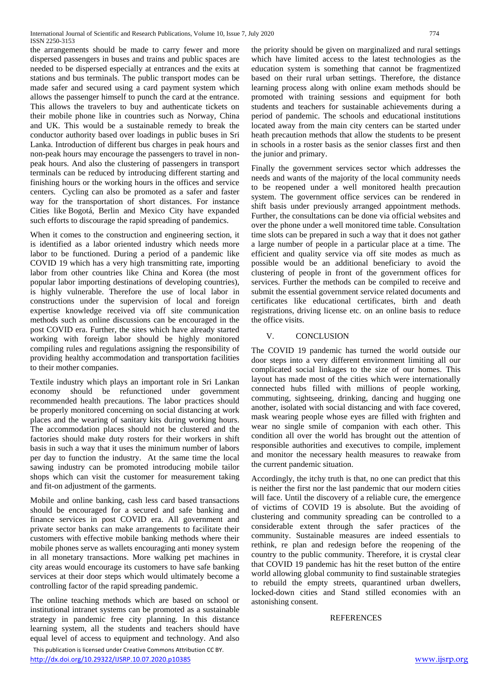the arrangements should be made to carry fewer and more dispersed passengers in buses and trains and public spaces are needed to be dispersed especially at entrances and the exits at stations and bus terminals. The public transport modes can be made safer and secured using a card payment system which allows the passenger himself to punch the card at the entrance. This allows the travelers to buy and authenticate tickets on their mobile phone like in countries such as Norway, China and UK. This would be a sustainable remedy to break the conductor authority based over loadings in public buses in Sri Lanka. Introduction of different bus charges in peak hours and non-peak hours may encourage the passengers to travel in nonpeak hours. And also the clustering of passengers in transport terminals can be reduced by introducing different starting and finishing hours or the working hours in the offices and service centers. Cycling can also be promoted as a safer and faster way for the transportation of short distances. For instance Cities like [Bogotá,](https://thecityfix.com/blog/bogota-company-deploys-400-free-e-bikes-help-health-workers-respond-covid-19-carlos-pardo/) Berlin and Mexico City have expanded such efforts to discourage the rapid spreading of pandemics.

When it comes to the construction and engineering section, it is identified as a labor oriented industry which needs more labor to be functioned. During a period of a pandemic like COVID 19 which has a very high transmitting rate, importing labor from other countries like China and Korea (the most popular labor importing destinations of developing countries), is highly vulnerable. Therefore the use of local labor in constructions under the supervision of local and foreign expertise knowledge received via off site communication methods such as online discussions can be encouraged in the post COVID era. Further, the sites which have already started working with foreign labor should be highly monitored compiling rules and regulations assigning the responsibility of providing healthy accommodation and transportation facilities to their mother companies.

Textile industry which plays an important role in Sri Lankan economy should be refunctioned under government recommended health precautions. The labor practices should be properly monitored concerning on social distancing at work places and the wearing of sanitary kits during working hours. The accommodation places should not be clustered and the factories should make duty rosters for their workers in shift basis in such a way that it uses the minimum number of labors per day to function the industry. At the same time the local sawing industry can be promoted introducing mobile tailor shops which can visit the customer for measurement taking and fit-on adjustment of the garments.

Mobile and online banking, cash less card based transactions should be encouraged for a secured and safe banking and finance services in post COVID era. All government and private sector banks can make arrangements to facilitate their customers with effective mobile banking methods where their mobile phones serve as wallets encouraging anti money system in all monetary transactions. More walking pet machines in city areas would encourage its customers to have safe banking services at their door steps which would ultimately become a controlling factor of the rapid spreading pandemic.

The online teaching methods which are based on school or institutional intranet systems can be promoted as a sustainable strategy in pandemic free city planning. In this distance learning system, all the students and teachers should have equal level of access to equipment and technology. And also

 This publication is licensed under Creative Commons Attribution CC BY. <http://dx.doi.org/10.29322/IJSRP.10.07.2020.p10385> [www.ijsrp.org](http://ijsrp.org/)

the priority should be given on marginalized and rural settings which have limited access to the latest technologies as the education system is something that cannot be fragmentized based on their rural urban settings. Therefore, the distance learning process along with online exam methods should be promoted with training sessions and equipment for both students and teachers for sustainable achievements during a period of pandemic. The schools and educational institutions located away from the main city centers can be started under heath precaution methods that allow the students to be present in schools in a roster basis as the senior classes first and then the junior and primary.

Finally the government services sector which addresses the needs and wants of the majority of the local community needs to be reopened under a well monitored health precaution system. The government office services can be rendered in shift basis under previously arranged appointment methods. Further, the consultations can be done via official websites and over the phone under a well monitored time table. Consultation time slots can be prepared in such a way that it does not gather a large number of people in a particular place at a time. The efficient and quality service via off site modes as much as possible would be an additional beneficiary to avoid the clustering of people in front of the government offices for services. Further the methods can be compiled to receive and submit the essential government service related documents and certificates like educational certificates, birth and death registrations, driving license etc. on an online basis to reduce the office visits.

# V. CONCLUSION

The COVID 19 pandemic has turned the world outside our door steps into a very different environment limiting all our complicated social linkages to the size of our homes. This layout has made most of the cities which were internationally connected hubs filled with millions of people working, commuting, sightseeing, drinking, dancing and hugging one another, isolated with social distancing and with face covered, mask wearing people whose eyes are filled with frighten and wear no single smile of companion with each other. This condition all over the world has brought out the attention of responsible authorities and executives to compile, implement and monitor the necessary health measures to reawake from the current pandemic situation.

Accordingly, the itchy truth is that, no one can predict that this is neither the first nor the last pandemic that our modern cities will face. Until the discovery of a reliable cure, the emergence of victims of COVID 19 is absolute. But the avoiding of clustering and community spreading can be controlled to a considerable extent through the safer practices of the community. Sustainable measures are indeed essentials to rethink, re plan and redesign before the reopening of the country to the public community. Therefore, it is crystal clear that COVID 19 pandemic has hit the reset button of the entire world allowing global community to find sustainable strategies to rebuild the empty streets, quarantined urban dwellers, locked-down cities and Stand stilled economies with an astonishing consent.

# **REFERENCES**